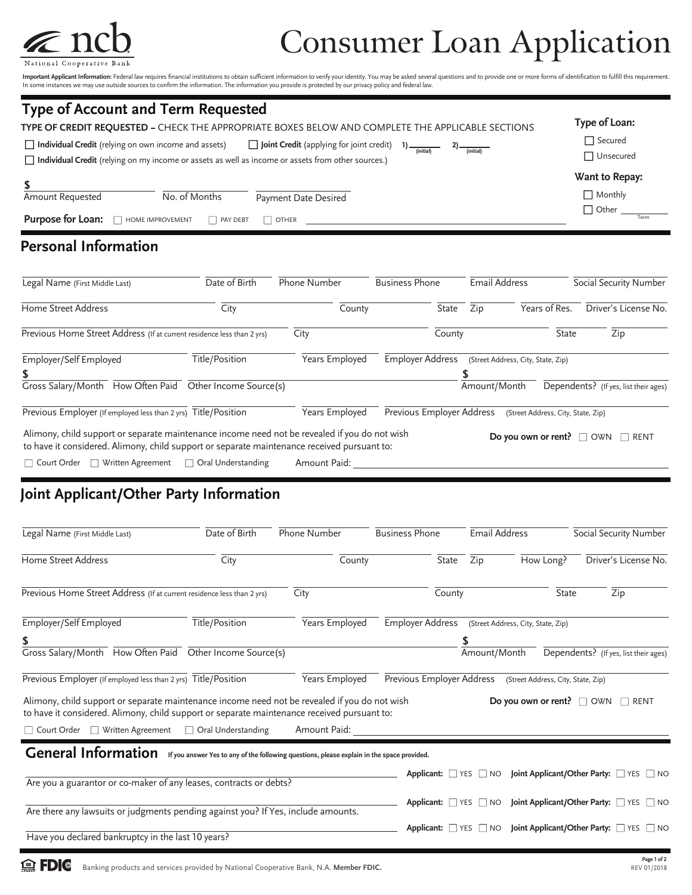

## Consumer Loan Application

**Important Applicant Information:** Federal law requires financial institutions to obtain sufficient information to verify your identity. You may be asked several questions and to provide one or more forms of identification

| <b>Type of Account and Term Requested</b><br>TYPE OF CREDIT REQUESTED - CHECK THE APPROPRIATE BOXES BELOW AND COMPLETE THE APPLICABLE SECTIONS                                                                                                            | Type of Loan:                                            |
|-----------------------------------------------------------------------------------------------------------------------------------------------------------------------------------------------------------------------------------------------------------|----------------------------------------------------------|
| $\Box$ Individual Credit (relying on own income and assets) $\Box$ Joint Credit (applying for joint credit) 1) $\frac{1}{\Box}$<br>$2)$ (initial)<br>□ Individual Credit (relying on my income or assets as well as income or assets from other sources.) | $\Box$ Secured<br>$\Box$ Unsecured                       |
| No. of Months<br>Amount Requested<br>Payment Date Desired<br><b>Purpose for Loan:</b> THOME IMPROVEMENT <b>THE PAY DEBT</b><br>$\Box$ OTHER                                                                                                               | Want to Repay:<br>$\Box$ Monthly<br>$\Box$ Other<br>Term |
| <b>Personal Information</b>                                                                                                                                                                                                                               |                                                          |

| Legal Name (First Middle Last)                                                                                                                                                               | Date of Birth           | <b>Phone Number</b> |        |                           | <b>Business Phone</b> |                                       | <b>Email Address</b>               |              | Social Security Number |                                       |
|----------------------------------------------------------------------------------------------------------------------------------------------------------------------------------------------|-------------------------|---------------------|--------|---------------------------|-----------------------|---------------------------------------|------------------------------------|--------------|------------------------|---------------------------------------|
| Home Street Address                                                                                                                                                                          | City                    |                     | County |                           | State                 | Zip                                   | Years of Res.                      |              |                        | Driver's License No.                  |
| Previous Home Street Address (If at current residence less than 2 yrs)                                                                                                                       |                         | City                |        |                           | County                |                                       |                                    | <b>State</b> |                        | Zip                                   |
| Employer/Self Employed                                                                                                                                                                       | Title/Position          | Years Employed      |        | Employer Address          |                       | (Street Address, City, State, Zip)    |                                    |              |                        |                                       |
| Gross Salary/Month How Often Paid Other Income Source(s)                                                                                                                                     |                         |                     |        |                           |                       | Amount/Month                          |                                    |              |                        | Dependents? (If yes, list their ages) |
| Previous Employer (If employed less than 2 yrs) Title/Position                                                                                                                               |                         | Years Employed      |        | Previous Employer Address |                       |                                       | (Street Address, City, State, Zip) |              |                        |                                       |
| Alimony, child support or separate maintenance income need not be revealed if you do not wish<br>to have it considered. Alimony, child support or separate maintenance received pursuant to: |                         |                     |        |                           |                       | Do you own or rent? $\Box$ OWN $\Box$ |                                    |              |                        | RENT                                  |
| Written Agreement<br>□ Court Order                                                                                                                                                           | Oral Understanding<br>H | Amount Paid:        |        |                           |                       |                                       |                                    |              |                        |                                       |

## **Joint Applicant/Other Party Information**

| Legal Name (First Middle Last)                                                                                                                                                               | Date of Birth  | Phone Number                                                                               |                           | <b>Business Phone</b> |              | <b>Email Address</b>                                | Social Security Number                                                            |  |
|----------------------------------------------------------------------------------------------------------------------------------------------------------------------------------------------|----------------|--------------------------------------------------------------------------------------------|---------------------------|-----------------------|--------------|-----------------------------------------------------|-----------------------------------------------------------------------------------|--|
| Home Street Address                                                                                                                                                                          | City           | County                                                                                     |                           | State                 | Zip          | How Long?                                           | Driver's License No.                                                              |  |
| Previous Home Street Address (If at current residence less than 2 yrs)                                                                                                                       |                | City                                                                                       |                           | County                |              | <b>State</b>                                        | Zip                                                                               |  |
| Employer/Self Employed                                                                                                                                                                       | Title/Position | Years Employed                                                                             |                           |                       |              | Employer Address (Street Address, City, State, Zip) |                                                                                   |  |
| \$                                                                                                                                                                                           |                |                                                                                            |                           |                       |              |                                                     |                                                                                   |  |
| Gross Salary/Month How Often Paid Other Income Source(s)                                                                                                                                     |                |                                                                                            |                           |                       | Amount/Month |                                                     | Dependents? (If yes, list their ages)                                             |  |
| Previous Employer (If employed less than 2 yrs) Title/Position                                                                                                                               |                | Years Employed                                                                             | Previous Employer Address |                       |              | (Street Address, City, State, Zip)                  |                                                                                   |  |
| Alimony, child support or separate maintenance income need not be revealed if you do not wish<br>to have it considered. Alimony, child support or separate maintenance received pursuant to: |                |                                                                                            |                           |                       |              | Do you own or rent? $\Box$ OWN                      | RENT                                                                              |  |
| □ Court Order □ Written Agreement □ Oral Understanding                                                                                                                                       |                | Amount Paid:                                                                               |                           |                       |              |                                                     |                                                                                   |  |
| <b>General Information</b>                                                                                                                                                                   |                | If you answer Yes to any of the following questions, please explain in the space provided. |                           |                       |              |                                                     | Applicant: YES NO Joint Applicant/Other Party: YES NO                             |  |
| Are you a guarantor or co-maker of any leases, contracts or debts?                                                                                                                           |                |                                                                                            |                           |                       |              |                                                     |                                                                                   |  |
| Are there any lawsuits or judgments pending against you? If Yes, include amounts.                                                                                                            |                |                                                                                            |                           |                       |              |                                                     | Applicant: YES NO Joint Applicant/Other Party: YES NO                             |  |
| Have you declared bankruptcy in the last 10 years?                                                                                                                                           |                |                                                                                            |                           |                       |              |                                                     | Applicant: $\Box$ YES $\Box$ NO Joint Applicant/Other Party: $\Box$ YES $\Box$ NO |  |